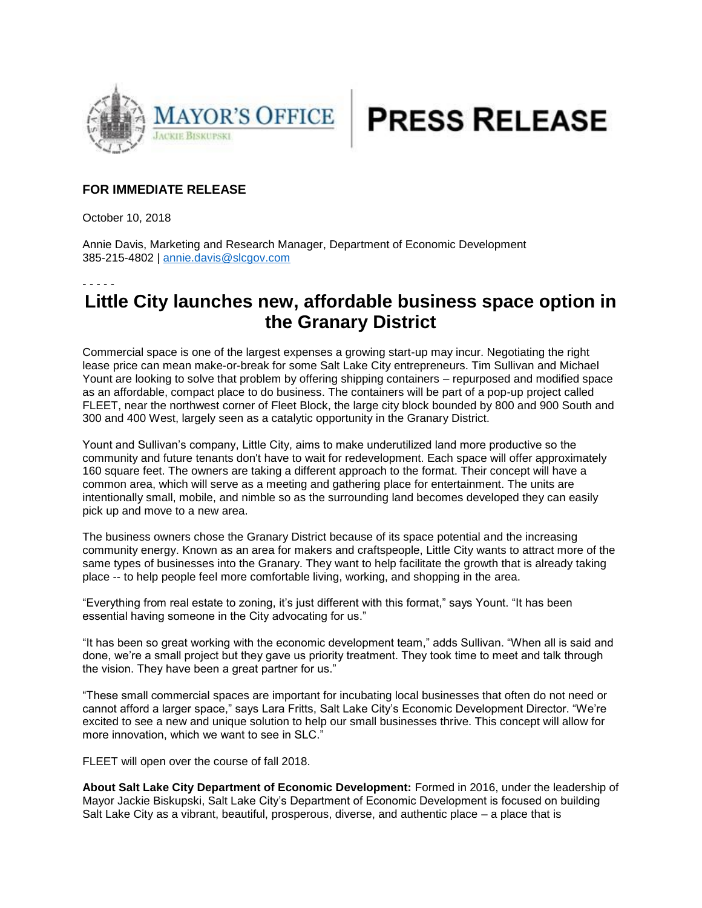



## **FOR IMMEDIATE RELEASE**

October 10, 2018

Annie Davis, Marketing and Research Manager, Department of Economic Development 385-215-4802 | [annie.davis@slcgov.com](mailto:annie.davis@slcgov.com)

## - - - - -

## **Little City launches new, affordable business space option in the Granary District**

Commercial space is one of the largest expenses a growing start-up may incur. Negotiating the right lease price can mean make-or-break for some Salt Lake City entrepreneurs. Tim Sullivan and Michael Yount are looking to solve that problem by offering shipping containers – repurposed and modified space as an affordable, compact place to do business. The containers will be part of a pop-up project called FLEET, near the northwest corner of Fleet Block, the large city block bounded by 800 and 900 South and 300 and 400 West, largely seen as a catalytic opportunity in the Granary District.

Yount and Sullivan's company, Little City, aims to make underutilized land more productive so the community and future tenants don't have to wait for redevelopment. Each space will offer approximately 160 square feet. The owners are taking a different approach to the format. Their concept will have a common area, which will serve as a meeting and gathering place for entertainment. The units are intentionally small, mobile, and nimble so as the surrounding land becomes developed they can easily pick up and move to a new area.

The business owners chose the Granary District because of its space potential and the increasing community energy. Known as an area for makers and craftspeople, Little City wants to attract more of the same types of businesses into the Granary. They want to help facilitate the growth that is already taking place -- to help people feel more comfortable living, working, and shopping in the area.

"Everything from real estate to zoning, it's just different with this format," says Yount. "It has been essential having someone in the City advocating for us."

"It has been so great working with the economic development team," adds Sullivan. "When all is said and done, we're a small project but they gave us priority treatment. They took time to meet and talk through the vision. They have been a great partner for us."

"These small commercial spaces are important for incubating local businesses that often do not need or cannot afford a larger space," says Lara Fritts, Salt Lake City's Economic Development Director. "We're excited to see a new and unique solution to help our small businesses thrive. This concept will allow for more innovation, which we want to see in SLC."

FLEET will open over the course of fall 2018.

**About Salt Lake City Department of Economic Development:** Formed in 2016, under the leadership of Mayor Jackie Biskupski, Salt Lake City's Department of Economic Development is focused on building Salt Lake City as a vibrant, beautiful, prosperous, diverse, and authentic place – a place that is